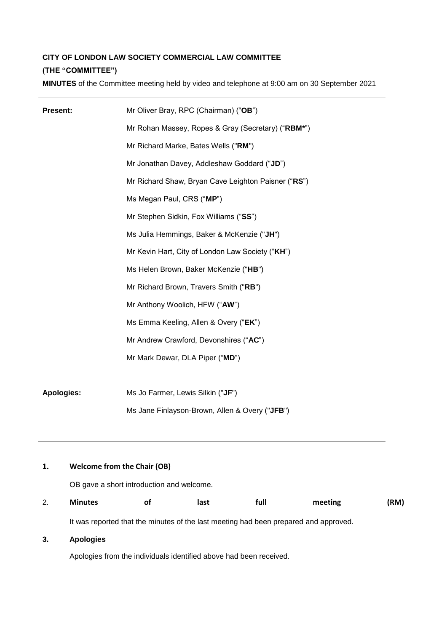# **CITY OF LONDON LAW SOCIETY COMMERCIAL LAW COMMITTEE (THE "COMMITTEE")**

**MINUTES** of the Committee meeting held by video and telephone at 9:00 am on 30 September 2021

| <b>Present:</b>   | Mr Oliver Bray, RPC (Chairman) ("OB")               |
|-------------------|-----------------------------------------------------|
|                   | Mr Rohan Massey, Ropes & Gray (Secretary) ("RBM*")  |
|                   | Mr Richard Marke, Bates Wells ("RM")                |
|                   | Mr Jonathan Davey, Addleshaw Goddard ("JD")         |
|                   | Mr Richard Shaw, Bryan Cave Leighton Paisner ("RS") |
|                   | Ms Megan Paul, CRS ("MP")                           |
|                   | Mr Stephen Sidkin, Fox Williams ("SS")              |
|                   | Ms Julia Hemmings, Baker & McKenzie ("JH")          |
|                   | Mr Kevin Hart, City of London Law Society ("KH")    |
|                   | Ms Helen Brown, Baker McKenzie ("HB")               |
|                   | Mr Richard Brown, Travers Smith ("RB")              |
|                   | Mr Anthony Woolich, HFW ("AW")                      |
|                   | Ms Emma Keeling, Allen & Overy ("EK")               |
|                   | Mr Andrew Crawford, Devonshires ("AC")              |
|                   | Mr Mark Dewar, DLA Piper ("MD")                     |
|                   |                                                     |
| <b>Apologies:</b> | Ms Jo Farmer, Lewis Silkin ("JF")                   |
|                   | Ms Jane Finlayson-Brown, Allen & Overy ("JFB")      |

## **1. Welcome from the Chair (OB)**

OB gave a short introduction and welcome.

2. **Minutes of last full meeting (RM)**

It was reported that the minutes of the last meeting had been prepared and approved.

## **3. Apologies**

Apologies from the individuals identified above had been received.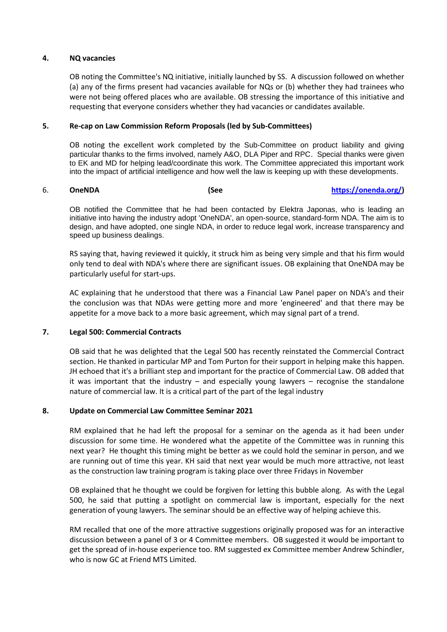### **4. NQ vacancies**

OB noting the Committee's NQ initiative, initially launched by SS. A discussion followed on whether (a) any of the firms present had vacancies available for NQs or (b) whether they had trainees who were not being offered places who are available. OB stressing the importance of this initiative and requesting that everyone considers whether they had vacancies or candidates available.

#### **5. Re-cap on Law Commission Reform Proposals (led by Sub-Committees)**

OB noting the excellent work completed by the Sub-Committee on product liability and giving particular thanks to the firms involved, namely A&O, DLA Piper and RPC. Special thanks were given to EK and MD for helping lead/coordinate this work. The Committee appreciated this important work into the impact of artificial intelligence and how well the law is keeping up with these developments.

#### 6. **OneNDA (See https://onenda.org/)**

OB notified the Committee that he had been contacted by Elektra Japonas, who is leading an initiative into having the industry adopt 'OneNDA', an open-source, standard-form NDA. The aim is to design, and have adopted, one single NDA, in order to reduce legal work, increase transparency and speed up business dealings.

RS saying that, having reviewed it quickly, it struck him as being very simple and that his firm would only tend to deal with NDA's where there are significant issues. OB explaining that OneNDA may be particularly useful for start-ups.

AC explaining that he understood that there was a Financial Law Panel paper on NDA's and their the conclusion was that NDAs were getting more and more 'engineered' and that there may be appetite for a move back to a more basic agreement, which may signal part of a trend.

#### **7. Legal 500: Commercial Contracts**

OB said that he was delighted that the Legal 500 has recently reinstated the Commercial Contract section. He thanked in particular MP and Tom Purton for their support in helping make this happen. JH echoed that it's a brilliant step and important for the practice of Commercial Law. OB added that it was important that the industry  $-$  and especially young lawyers  $-$  recognise the standalone nature of commercial law. It is a critical part of the part of the legal industry

#### **8. Update on Commercial Law Committee Seminar 2021**

RM explained that he had left the proposal for a seminar on the agenda as it had been under discussion for some time. He wondered what the appetite of the Committee was in running this next year? He thought this timing might be better as we could hold the seminar in person, and we are running out of time this year. KH said that next year would be much more attractive, not least as the construction law training program is taking place over three Fridays in November

OB explained that he thought we could be forgiven for letting this bubble along. As with the Legal 500, he said that putting a spotlight on commercial law is important, especially for the next generation of young lawyers. The seminar should be an effective way of helping achieve this.

RM recalled that one of the more attractive suggestions originally proposed was for an interactive discussion between a panel of 3 or 4 Committee members. OB suggested it would be important to get the spread of in-house experience too. RM suggested ex Committee member Andrew Schindler, who is now GC at Friend MTS Limited.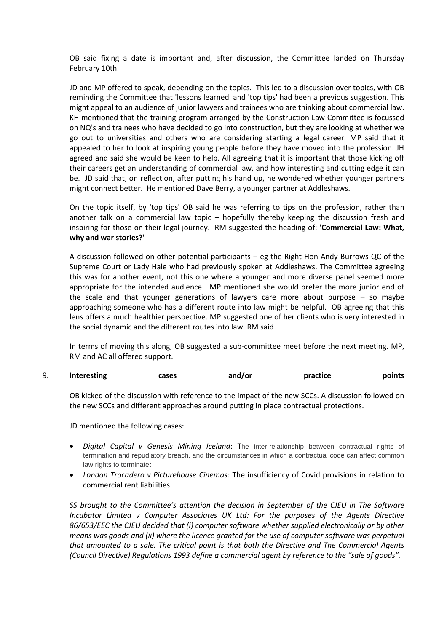OB said fixing a date is important and, after discussion, the Committee landed on Thursday February 10th.

JD and MP offered to speak, depending on the topics. This led to a discussion over topics, with OB reminding the Committee that 'lessons learned' and 'top tips' had been a previous suggestion. This might appeal to an audience of junior lawyers and trainees who are thinking about commercial law. KH mentioned that the training program arranged by the Construction Law Committee is focussed on NQ's and trainees who have decided to go into construction, but they are looking at whether we go out to universities and others who are considering starting a legal career. MP said that it appealed to her to look at inspiring young people before they have moved into the profession. JH agreed and said she would be keen to help. All agreeing that it is important that those kicking off their careers get an understanding of commercial law, and how interesting and cutting edge it can be. JD said that, on reflection, after putting his hand up, he wondered whether younger partners might connect better. He mentioned Dave Berry, a younger partner at Addleshaws.

On the topic itself, by 'top tips' OB said he was referring to tips on the profession, rather than another talk on a commercial law topic – hopefully thereby keeping the discussion fresh and inspiring for those on their legal journey. RM suggested the heading of: **'Commercial Law: What, why and war stories?'**

A discussion followed on other potential participants – eg the Right Hon Andy Burrows QC of the Supreme Court or Lady Hale who had previously spoken at Addleshaws. The Committee agreeing this was for another event, not this one where a younger and more diverse panel seemed more appropriate for the intended audience. MP mentioned she would prefer the more junior end of the scale and that younger generations of lawyers care more about purpose – so maybe approaching someone who has a different route into law might be helpful. OB agreeing that this lens offers a much healthier perspective. MP suggested one of her clients who is very interested in the social dynamic and the different routes into law. RM said

In terms of moving this along, OB suggested a sub-committee meet before the next meeting. MP, RM and AC all offered support.

9. **Interesting cases and/or practice points**

OB kicked of the discussion with reference to the impact of the new SCCs. A discussion followed on the new SCCs and different approaches around putting in place contractual protections.

JD mentioned the following cases:

- *Digital Capital v Genesis Mining Iceland*: The inter-relationship between contractual rights of termination and repudiatory breach, and the circumstances in which a contractual code can affect common law rights to terminate;
- *London Trocadero v Picturehouse Cinemas:* The insufficiency of Covid provisions in relation to commercial rent liabilities.

*SS brought to the Committee's attention the decision in September of the CJEU in The Software Incubator Limited v Computer Associates UK Ltd: For the purposes of the Agents Directive 86/653/EEC the CJEU decided that (i) computer software whether supplied electronically or by other means was goods and (ii) where the licence granted for the use of computer software was perpetual that amounted to a sale. The critical point is that both the Directive and The Commercial Agents (Council Directive) Regulations 1993 define a commercial agent by reference to the "sale of goods".*